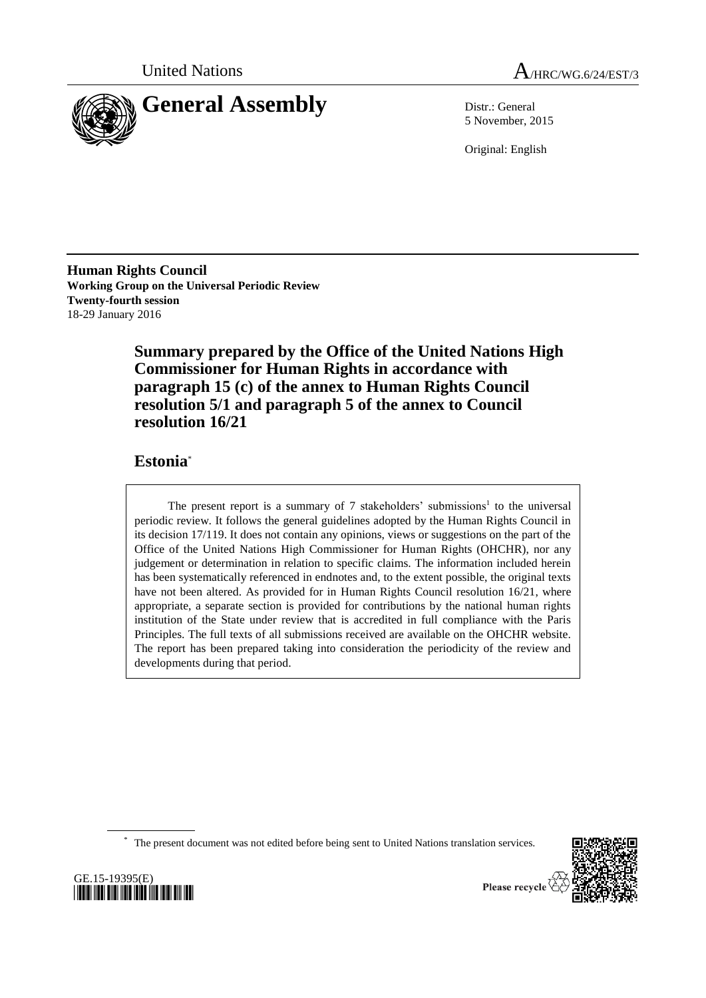



5 November, 2015

Original: English

**Human Rights Council Working Group on the Universal Periodic Review Twenty-fourth session** 18-29 January 2016

> **Summary prepared by the Office of the United Nations High Commissioner for Human Rights in accordance with paragraph 15 (c) of the annex to Human Rights Council resolution 5/1 and paragraph 5 of the annex to Council resolution 16/21**

# **Estonia**\*

The present report is a summary of  $7$  stakeholders' submissions<sup>1</sup> to the universal periodic review. It follows the general guidelines adopted by the Human Rights Council in its decision 17/119. It does not contain any opinions, views or suggestions on the part of the Office of the United Nations High Commissioner for Human Rights (OHCHR), nor any judgement or determination in relation to specific claims. The information included herein has been systematically referenced in endnotes and, to the extent possible, the original texts have not been altered. As provided for in Human Rights Council resolution  $16/21$ , where appropriate, a separate section is provided for contributions by the national human rights institution of the State under review that is accredited in full compliance with the Paris Principles. The full texts of all submissions received are available on the OHCHR website. The report has been prepared taking into consideration the periodicity of the review and developments during that period.

\* The present document was not edited before being sent to United Nations translation services.



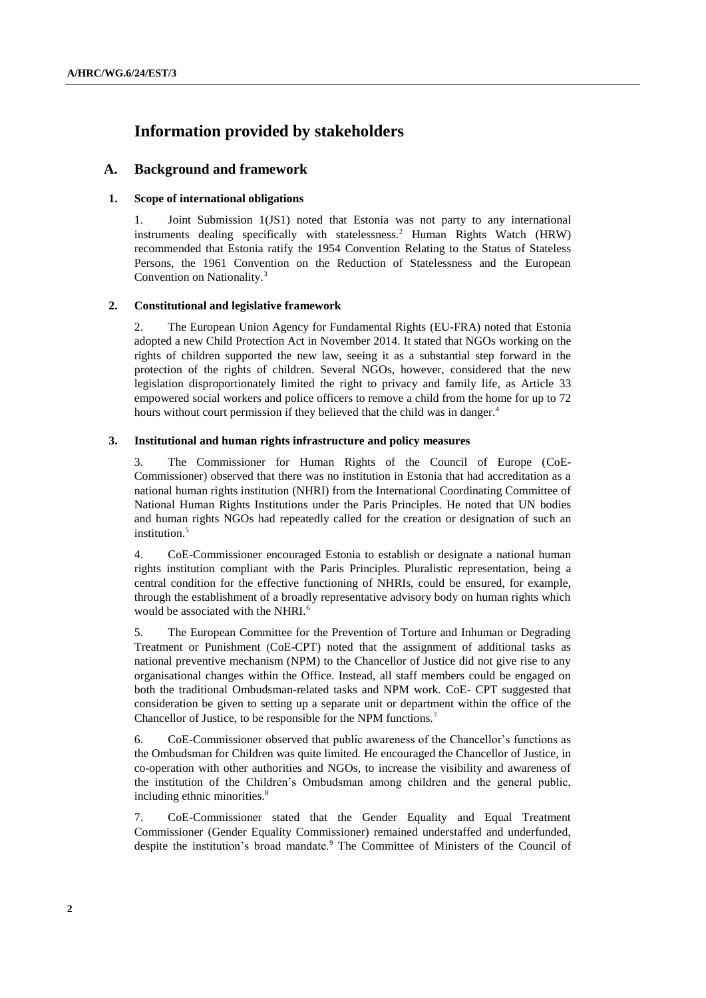# **Information provided by stakeholders**

# **A. Background and framework**

### **1. Scope of international obligations**

1. Joint Submission 1(JS1) noted that Estonia was not party to any international instruments dealing specifically with statelessness.<sup>2</sup> Human Rights Watch (HRW) recommended that Estonia ratify the 1954 Convention Relating to the Status of Stateless Persons, the 1961 Convention on the Reduction of Statelessness and the European Convention on Nationality.<sup>3</sup>

#### **2. Constitutional and legislative framework**

2. The European Union Agency for Fundamental Rights (EU-FRA) noted that Estonia adopted a new Child Protection Act in November 2014. It stated that NGOs working on the rights of children supported the new law, seeing it as a substantial step forward in the protection of the rights of children. Several NGOs, however, considered that the new legislation disproportionately limited the right to privacy and family life, as Article 33 empowered social workers and police officers to remove a child from the home for up to 72 hours without court permission if they believed that the child was in danger.<sup>4</sup>

#### **3. Institutional and human rights infrastructure and policy measures**

3. The Commissioner for Human Rights of the Council of Europe (CoE-Commissioner) observed that there was no institution in Estonia that had accreditation as a national human rights institution (NHRI) from the International Coordinating Committee of National Human Rights Institutions under the Paris Principles. He noted that UN bodies and human rights NGOs had repeatedly called for the creation or designation of such an institution.<sup>5</sup>

4. CoE-Commissioner encouraged Estonia to establish or designate a national human rights institution compliant with the Paris Principles. Pluralistic representation, being a central condition for the effective functioning of NHRIs, could be ensured, for example, through the establishment of a broadly representative advisory body on human rights which would be associated with the NHRI.<sup>6</sup>

5. The European Committee for the Prevention of Torture and Inhuman or Degrading Treatment or Punishment (CoE-CPT) noted that the assignment of additional tasks as national preventive mechanism (NPM) to the Chancellor of Justice did not give rise to any organisational changes within the Office. Instead, all staff members could be engaged on both the traditional Ombudsman-related tasks and NPM work. CoE- CPT suggested that consideration be given to setting up a separate unit or department within the office of the Chancellor of Justice, to be responsible for the NPM functions.<sup>7</sup>

6. CoE-Commissioner observed that public awareness of the Chancellor's functions as the Ombudsman for Children was quite limited. He encouraged the Chancellor of Justice, in co-operation with other authorities and NGOs, to increase the visibility and awareness of the institution of the Children's Ombudsman among children and the general public, including ethnic minorities.<sup>8</sup>

7. CoE-Commissioner stated that the Gender Equality and Equal Treatment Commissioner (Gender Equality Commissioner) remained understaffed and underfunded, despite the institution's broad mandate.<sup>9</sup> The Committee of Ministers of the Council of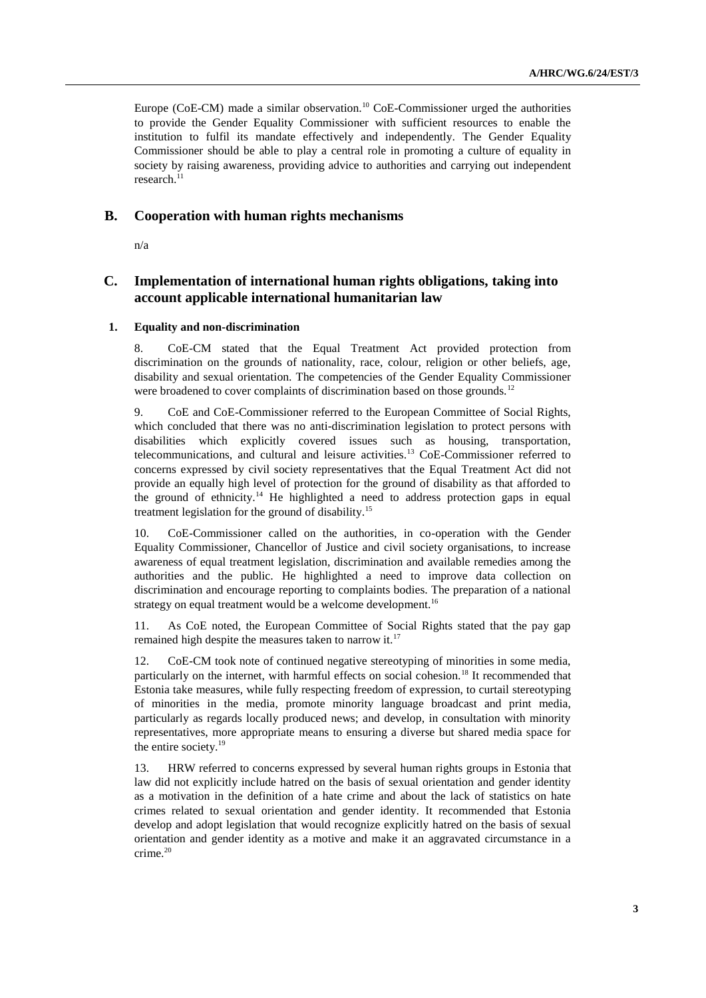Europe (CoE-CM) made a similar observation.<sup>10</sup> CoE-Commissioner urged the authorities to provide the Gender Equality Commissioner with sufficient resources to enable the institution to fulfil its mandate effectively and independently. The Gender Equality Commissioner should be able to play a central role in promoting a culture of equality in society by raising awareness, providing advice to authorities and carrying out independent research.<sup>11</sup>

## **B. Cooperation with human rights mechanisms**

n/a

# **C. Implementation of international human rights obligations, taking into account applicable international humanitarian law**

#### **1. Equality and non-discrimination**

8. CoE-CM stated that the Equal Treatment Act provided protection from discrimination on the grounds of nationality, race, colour, religion or other beliefs, age, disability and sexual orientation. The competencies of the Gender Equality Commissioner were broadened to cover complaints of discrimination based on those grounds.<sup>12</sup>

9. CoE and CoE-Commissioner referred to the European Committee of Social Rights, which concluded that there was no anti-discrimination legislation to protect persons with disabilities which explicitly covered issues such as housing, transportation, telecommunications, and cultural and leisure activities.<sup>13</sup> CoE-Commissioner referred to concerns expressed by civil society representatives that the Equal Treatment Act did not provide an equally high level of protection for the ground of disability as that afforded to the ground of ethnicity.<sup>14</sup> He highlighted a need to address protection gaps in equal treatment legislation for the ground of disability.<sup>15</sup>

10. CoE-Commissioner called on the authorities, in co-operation with the Gender Equality Commissioner, Chancellor of Justice and civil society organisations, to increase awareness of equal treatment legislation, discrimination and available remedies among the authorities and the public. He highlighted a need to improve data collection on discrimination and encourage reporting to complaints bodies. The preparation of a national strategy on equal treatment would be a welcome development.<sup>16</sup>

11. As CoE noted, the European Committee of Social Rights stated that the pay gap remained high despite the measures taken to narrow it.<sup>17</sup>

12. CoE-CM took note of continued negative stereotyping of minorities in some media, particularly on the internet, with harmful effects on social cohesion.<sup>18</sup> It recommended that Estonia take measures, while fully respecting freedom of expression, to curtail stereotyping of minorities in the media, promote minority language broadcast and print media, particularly as regards locally produced news; and develop, in consultation with minority representatives, more appropriate means to ensuring a diverse but shared media space for the entire society.<sup>19</sup>

13. HRW referred to concerns expressed by several human rights groups in Estonia that law did not explicitly include hatred on the basis of sexual orientation and gender identity as a motivation in the definition of a hate crime and about the lack of statistics on hate crimes related to sexual orientation and gender identity. It recommended that Estonia develop and adopt legislation that would recognize explicitly hatred on the basis of sexual orientation and gender identity as a motive and make it an aggravated circumstance in a crime.<sup>20</sup>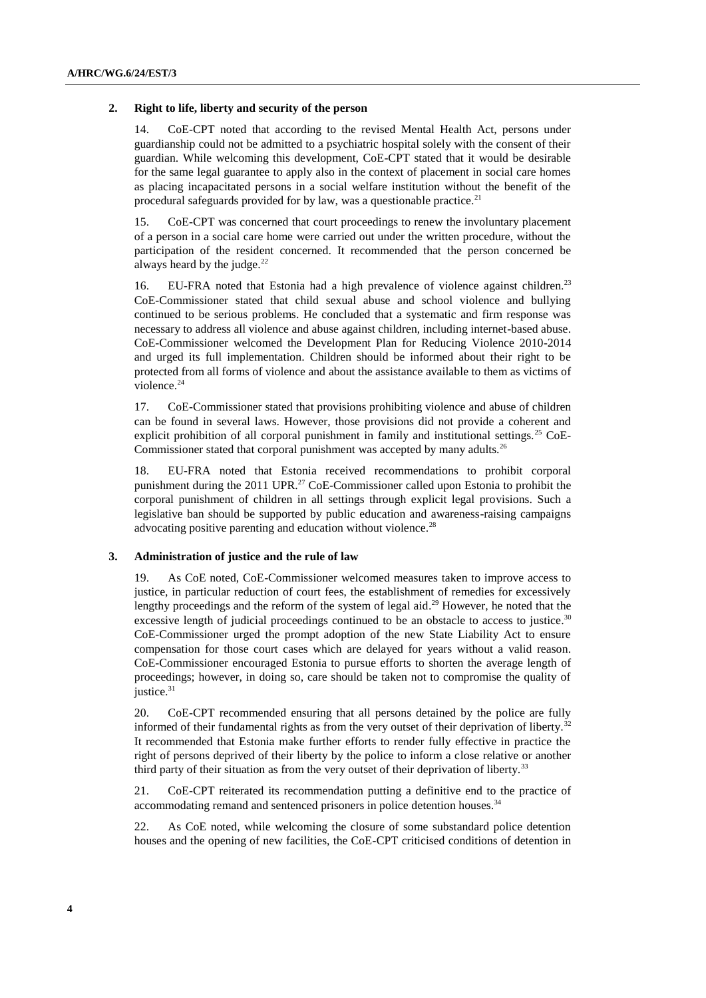#### **2. Right to life, liberty and security of the person**

14. CoE-CPT noted that according to the revised Mental Health Act, persons under guardianship could not be admitted to a psychiatric hospital solely with the consent of their guardian. While welcoming this development, CoE-CPT stated that it would be desirable for the same legal guarantee to apply also in the context of placement in social care homes as placing incapacitated persons in a social welfare institution without the benefit of the procedural safeguards provided for by law, was a questionable practice. $21$ 

15. CoE-CPT was concerned that court proceedings to renew the involuntary placement of a person in a social care home were carried out under the written procedure, without the participation of the resident concerned. It recommended that the person concerned be always heard by the judge. $22$ 

16. EU-FRA noted that Estonia had a high prevalence of violence against children.<sup>23</sup> CoE-Commissioner stated that child sexual abuse and school violence and bullying continued to be serious problems. He concluded that a systematic and firm response was necessary to address all violence and abuse against children, including internet-based abuse. CoE-Commissioner welcomed the Development Plan for Reducing Violence 2010-2014 and urged its full implementation. Children should be informed about their right to be protected from all forms of violence and about the assistance available to them as victims of violence.<sup>24</sup>

17. CoE-Commissioner stated that provisions prohibiting violence and abuse of children can be found in several laws. However, those provisions did not provide a coherent and explicit prohibition of all corporal punishment in family and institutional settings.<sup>25</sup> CoE-Commissioner stated that corporal punishment was accepted by many adults.<sup>26</sup>

18. EU-FRA noted that Estonia received recommendations to prohibit corporal punishment during the 2011 UPR.<sup>27</sup> CoE-Commissioner called upon Estonia to prohibit the corporal punishment of children in all settings through explicit legal provisions. Such a legislative ban should be supported by public education and awareness-raising campaigns advocating positive parenting and education without violence.<sup>28</sup>

#### **3. Administration of justice and the rule of law**

19. As CoE noted, CoE-Commissioner welcomed measures taken to improve access to justice, in particular reduction of court fees, the establishment of remedies for excessively lengthy proceedings and the reform of the system of legal aid.<sup>29</sup> However, he noted that the excessive length of judicial proceedings continued to be an obstacle to access to justice. $30$ CoE-Commissioner urged the prompt adoption of the new State Liability Act to ensure compensation for those court cases which are delayed for years without a valid reason. CoE-Commissioner encouraged Estonia to pursue efforts to shorten the average length of proceedings; however, in doing so, care should be taken not to compromise the quality of justice.<sup>31</sup>

20. CoE-CPT recommended ensuring that all persons detained by the police are fully informed of their fundamental rights as from the very outset of their deprivation of liberty.<sup>32</sup> It recommended that Estonia make further efforts to render fully effective in practice the right of persons deprived of their liberty by the police to inform a close relative or another third party of their situation as from the very outset of their deprivation of liberty.<sup>33</sup>

21. CoE-CPT reiterated its recommendation putting a definitive end to the practice of accommodating remand and sentenced prisoners in police detention houses.<sup>34</sup>

22. As CoE noted, while welcoming the closure of some substandard police detention houses and the opening of new facilities, the CoE-CPT criticised conditions of detention in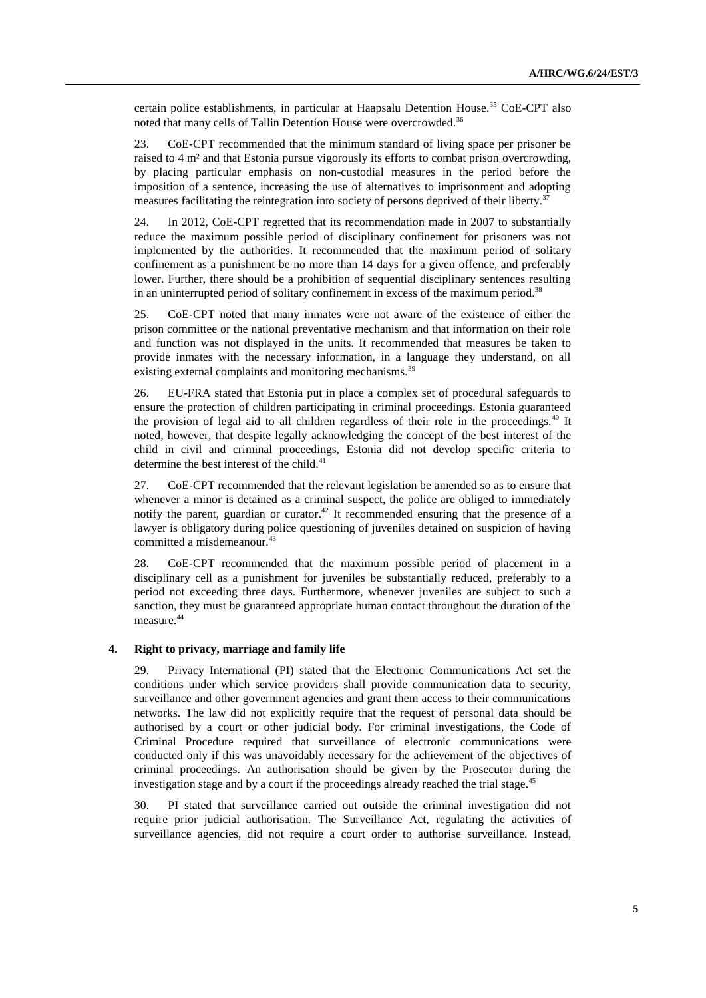certain police establishments, in particular at Haapsalu Detention House.<sup>35</sup> CoE-CPT also noted that many cells of Tallin Detention House were overcrowded.<sup>36</sup>

23. CoE-CPT recommended that the minimum standard of living space per prisoner be raised to 4 m² and that Estonia pursue vigorously its efforts to combat prison overcrowding, by placing particular emphasis on non-custodial measures in the period before the imposition of a sentence, increasing the use of alternatives to imprisonment and adopting measures facilitating the reintegration into society of persons deprived of their liberty.<sup>37</sup>

24. In 2012, CoE-CPT regretted that its recommendation made in 2007 to substantially reduce the maximum possible period of disciplinary confinement for prisoners was not implemented by the authorities. It recommended that the maximum period of solitary confinement as a punishment be no more than 14 days for a given offence, and preferably lower. Further, there should be a prohibition of sequential disciplinary sentences resulting in an uninterrupted period of solitary confinement in excess of the maximum period.<sup>38</sup>

25. CoE-CPT noted that many inmates were not aware of the existence of either the prison committee or the national preventative mechanism and that information on their role and function was not displayed in the units. It recommended that measures be taken to provide inmates with the necessary information, in a language they understand, on all existing external complaints and monitoring mechanisms.<sup>39</sup>

26. EU-FRA stated that Estonia put in place a complex set of procedural safeguards to ensure the protection of children participating in criminal proceedings. Estonia guaranteed the provision of legal aid to all children regardless of their role in the proceedings.<sup>40</sup> It noted, however, that despite legally acknowledging the concept of the best interest of the child in civil and criminal proceedings, Estonia did not develop specific criteria to determine the best interest of the child.<sup>41</sup>

27. CoE-CPT recommended that the relevant legislation be amended so as to ensure that whenever a minor is detained as a criminal suspect, the police are obliged to immediately notify the parent, guardian or curator. <sup>42</sup> It recommended ensuring that the presence of a lawyer is obligatory during police questioning of juveniles detained on suspicion of having committed a misdemeanour.<sup>43</sup>

28. CoE-CPT recommended that the maximum possible period of placement in a disciplinary cell as a punishment for juveniles be substantially reduced, preferably to a period not exceeding three days. Furthermore, whenever juveniles are subject to such a sanction, they must be guaranteed appropriate human contact throughout the duration of the measure.<sup>44</sup>

#### **4. Right to privacy, marriage and family life**

29. Privacy International (PI) stated that the Electronic Communications Act set the conditions under which service providers shall provide communication data to security, surveillance and other government agencies and grant them access to their communications networks. The law did not explicitly require that the request of personal data should be authorised by a court or other judicial body. For criminal investigations, the Code of Criminal Procedure required that surveillance of electronic communications were conducted only if this was unavoidably necessary for the achievement of the objectives of criminal proceedings. An authorisation should be given by the Prosecutor during the investigation stage and by a court if the proceedings already reached the trial stage.<sup>45</sup>

30. PI stated that surveillance carried out outside the criminal investigation did not require prior judicial authorisation. The Surveillance Act, regulating the activities of surveillance agencies, did not require a court order to authorise surveillance. Instead,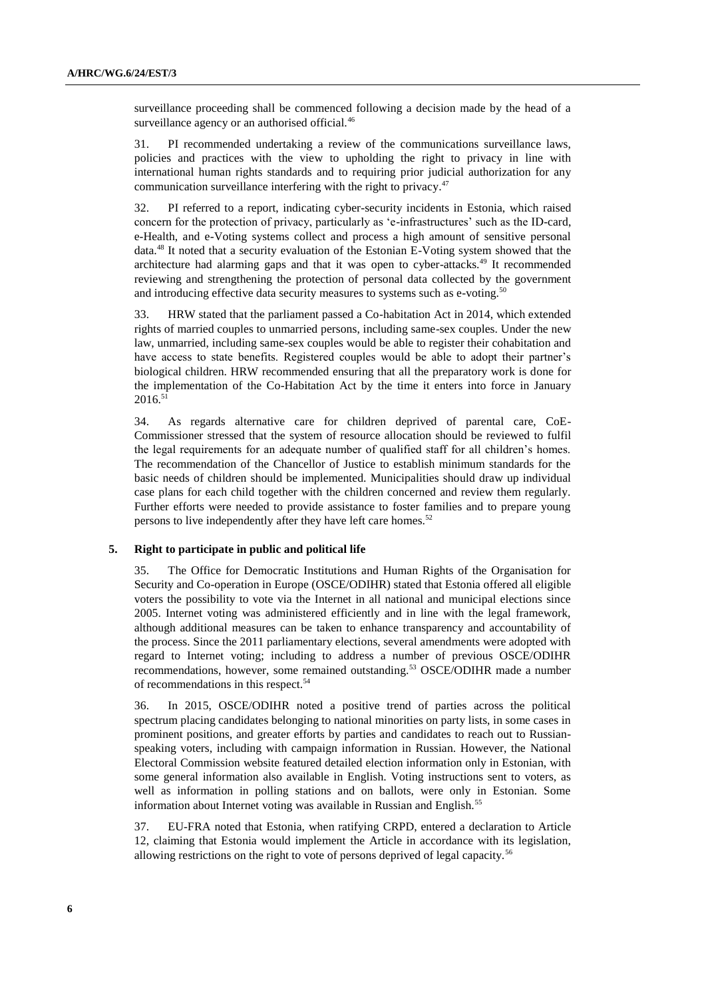surveillance proceeding shall be commenced following a decision made by the head of a surveillance agency or an authorised official.<sup>46</sup>

31. PI recommended undertaking a review of the communications surveillance laws, policies and practices with the view to upholding the right to privacy in line with international human rights standards and to requiring prior judicial authorization for any communication surveillance interfering with the right to privacy.<sup>47</sup>

32. PI referred to a report, indicating cyber-security incidents in Estonia, which raised concern for the protection of privacy, particularly as 'e-infrastructures' such as the ID-card, e-Health, and e-Voting systems collect and process a high amount of sensitive personal data.<sup>48</sup> It noted that a security evaluation of the Estonian E-Voting system showed that the architecture had alarming gaps and that it was open to cyber-attacks.<sup>49</sup> It recommended reviewing and strengthening the protection of personal data collected by the government and introducing effective data security measures to systems such as e-voting.<sup>50</sup>

33. HRW stated that the parliament passed a Co-habitation Act in 2014, which extended rights of married couples to unmarried persons, including same-sex couples. Under the new law, unmarried, including same-sex couples would be able to register their cohabitation and have access to state benefits. Registered couples would be able to adopt their partner's biological children. HRW recommended ensuring that all the preparatory work is done for the implementation of the Co-Habitation Act by the time it enters into force in January  $2016.<sup>51</sup>$ 

34. As regards alternative care for children deprived of parental care, CoE-Commissioner stressed that the system of resource allocation should be reviewed to fulfil the legal requirements for an adequate number of qualified staff for all children's homes. The recommendation of the Chancellor of Justice to establish minimum standards for the basic needs of children should be implemented. Municipalities should draw up individual case plans for each child together with the children concerned and review them regularly. Further efforts were needed to provide assistance to foster families and to prepare young persons to live independently after they have left care homes.<sup>52</sup>

#### **5. Right to participate in public and political life**

35. The Office for Democratic Institutions and Human Rights of the Organisation for Security and Co-operation in Europe (OSCE/ODIHR) stated that Estonia offered all eligible voters the possibility to vote via the Internet in all national and municipal elections since 2005. Internet voting was administered efficiently and in line with the legal framework, although additional measures can be taken to enhance transparency and accountability of the process. Since the 2011 parliamentary elections, several amendments were adopted with regard to Internet voting; including to address a number of previous OSCE/ODIHR recommendations, however, some remained outstanding.<sup>53</sup> OSCE/ODIHR made a number of recommendations in this respect.<sup>54</sup>

36. In 2015, OSCE/ODIHR noted a positive trend of parties across the political spectrum placing candidates belonging to national minorities on party lists, in some cases in prominent positions, and greater efforts by parties and candidates to reach out to Russianspeaking voters, including with campaign information in Russian. However, the National Electoral Commission website featured detailed election information only in Estonian, with some general information also available in English. Voting instructions sent to voters, as well as information in polling stations and on ballots, were only in Estonian. Some information about Internet voting was available in Russian and English.<sup>5</sup>

37. EU-FRA noted that Estonia, when ratifying CRPD, entered a declaration to Article 12, claiming that Estonia would implement the Article in accordance with its legislation, allowing restrictions on the right to vote of persons deprived of legal capacity.<sup>56</sup>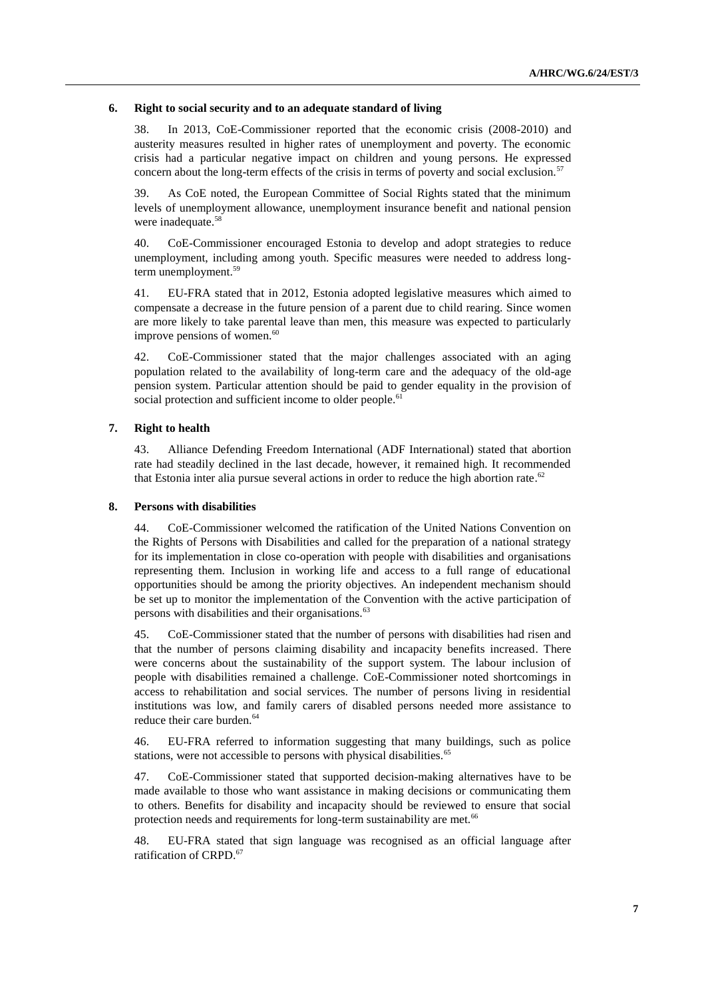#### **6. Right to social security and to an adequate standard of living**

38. In 2013, CoE-Commissioner reported that the economic crisis (2008-2010) and austerity measures resulted in higher rates of unemployment and poverty. The economic crisis had a particular negative impact on children and young persons. He expressed concern about the long-term effects of the crisis in terms of poverty and social exclusion.<sup>57</sup>

39. As CoE noted, the European Committee of Social Rights stated that the minimum levels of unemployment allowance, unemployment insurance benefit and national pension were inadequate.<sup>58</sup>

40. CoE-Commissioner encouraged Estonia to develop and adopt strategies to reduce unemployment, including among youth. Specific measures were needed to address longterm unemployment.<sup>59</sup>

41. EU-FRA stated that in 2012, Estonia adopted legislative measures which aimed to compensate a decrease in the future pension of a parent due to child rearing. Since women are more likely to take parental leave than men, this measure was expected to particularly improve pensions of women. $60$ 

42. CoE-Commissioner stated that the major challenges associated with an aging population related to the availability of long-term care and the adequacy of the old-age pension system. Particular attention should be paid to gender equality in the provision of social protection and sufficient income to older people.<sup>61</sup>

#### **7. Right to health**

43. Alliance Defending Freedom International (ADF International) stated that abortion rate had steadily declined in the last decade, however, it remained high. It recommended that Estonia inter alia pursue several actions in order to reduce the high abortion rate.<sup>62</sup>

#### **8. Persons with disabilities**

44. CoE-Commissioner welcomed the ratification of the United Nations Convention on the Rights of Persons with Disabilities and called for the preparation of a national strategy for its implementation in close co-operation with people with disabilities and organisations representing them. Inclusion in working life and access to a full range of educational opportunities should be among the priority objectives. An independent mechanism should be set up to monitor the implementation of the Convention with the active participation of persons with disabilities and their organisations.<sup>63</sup>

45. CoE-Commissioner stated that the number of persons with disabilities had risen and that the number of persons claiming disability and incapacity benefits increased. There were concerns about the sustainability of the support system. The labour inclusion of people with disabilities remained a challenge. CoE-Commissioner noted shortcomings in access to rehabilitation and social services. The number of persons living in residential institutions was low, and family carers of disabled persons needed more assistance to reduce their care burden.<sup>64</sup>

46. EU-FRA referred to information suggesting that many buildings, such as police stations, were not accessible to persons with physical disabilities.<sup>65</sup>

47. CoE-Commissioner stated that supported decision-making alternatives have to be made available to those who want assistance in making decisions or communicating them to others. Benefits for disability and incapacity should be reviewed to ensure that social protection needs and requirements for long-term sustainability are met.<sup>66</sup>

48. EU-FRA stated that sign language was recognised as an official language after ratification of CRPD.<sup>67</sup>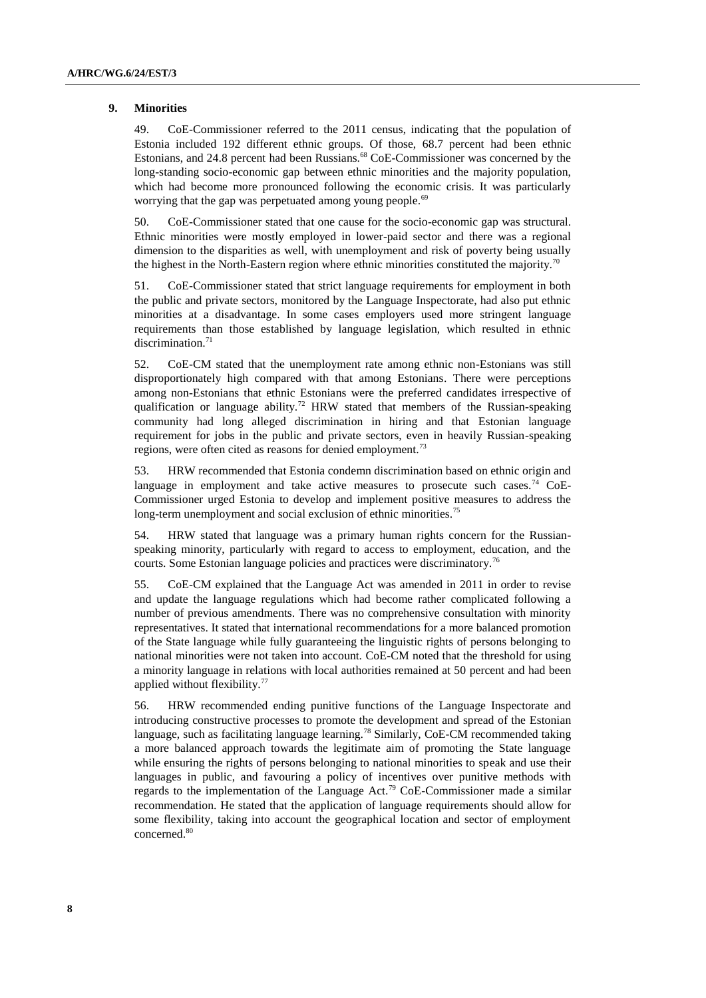#### **9. Minorities**

49. CoE-Commissioner referred to the 2011 census, indicating that the population of Estonia included 192 different ethnic groups. Of those, 68.7 percent had been ethnic Estonians, and 24.8 percent had been Russians.<sup>68</sup> CoE-Commissioner was concerned by the long-standing socio-economic gap between ethnic minorities and the majority population, which had become more pronounced following the economic crisis. It was particularly worrying that the gap was perpetuated among young people.<sup>69</sup>

50. CoE-Commissioner stated that one cause for the socio-economic gap was structural. Ethnic minorities were mostly employed in lower-paid sector and there was a regional dimension to the disparities as well, with unemployment and risk of poverty being usually the highest in the North-Eastern region where ethnic minorities constituted the majority.<sup>70</sup>

51. CoE-Commissioner stated that strict language requirements for employment in both the public and private sectors, monitored by the Language Inspectorate, had also put ethnic minorities at a disadvantage. In some cases employers used more stringent language requirements than those established by language legislation, which resulted in ethnic discrimination.<sup>71</sup>

52. CoE-CM stated that the unemployment rate among ethnic non-Estonians was still disproportionately high compared with that among Estonians. There were perceptions among non-Estonians that ethnic Estonians were the preferred candidates irrespective of qualification or language ability.<sup>72</sup> HRW stated that members of the Russian-speaking community had long alleged discrimination in hiring and that Estonian language requirement for jobs in the public and private sectors, even in heavily Russian-speaking regions, were often cited as reasons for denied employment.<sup>73</sup>

53. HRW recommended that Estonia condemn discrimination based on ethnic origin and language in employment and take active measures to prosecute such cases.<sup>74</sup> CoE-Commissioner urged Estonia to develop and implement positive measures to address the long-term unemployment and social exclusion of ethnic minorities.<sup>75</sup>

54. HRW stated that language was a primary human rights concern for the Russianspeaking minority, particularly with regard to access to employment, education, and the courts. Some Estonian language policies and practices were discriminatory.<sup>76</sup>

55. CoE-CM explained that the Language Act was amended in 2011 in order to revise and update the language regulations which had become rather complicated following a number of previous amendments. There was no comprehensive consultation with minority representatives. It stated that international recommendations for a more balanced promotion of the State language while fully guaranteeing the linguistic rights of persons belonging to national minorities were not taken into account. CoE-CM noted that the threshold for using a minority language in relations with local authorities remained at 50 percent and had been applied without flexibility.<sup>77</sup>

56. HRW recommended ending punitive functions of the Language Inspectorate and introducing constructive processes to promote the development and spread of the Estonian language, such as facilitating language learning.<sup>78</sup> Similarly, CoE-CM recommended taking a more balanced approach towards the legitimate aim of promoting the State language while ensuring the rights of persons belonging to national minorities to speak and use their languages in public, and favouring a policy of incentives over punitive methods with regards to the implementation of the Language Act.<sup>79</sup> CoE-Commissioner made a similar recommendation. He stated that the application of language requirements should allow for some flexibility, taking into account the geographical location and sector of employment concerned.<sup>80</sup>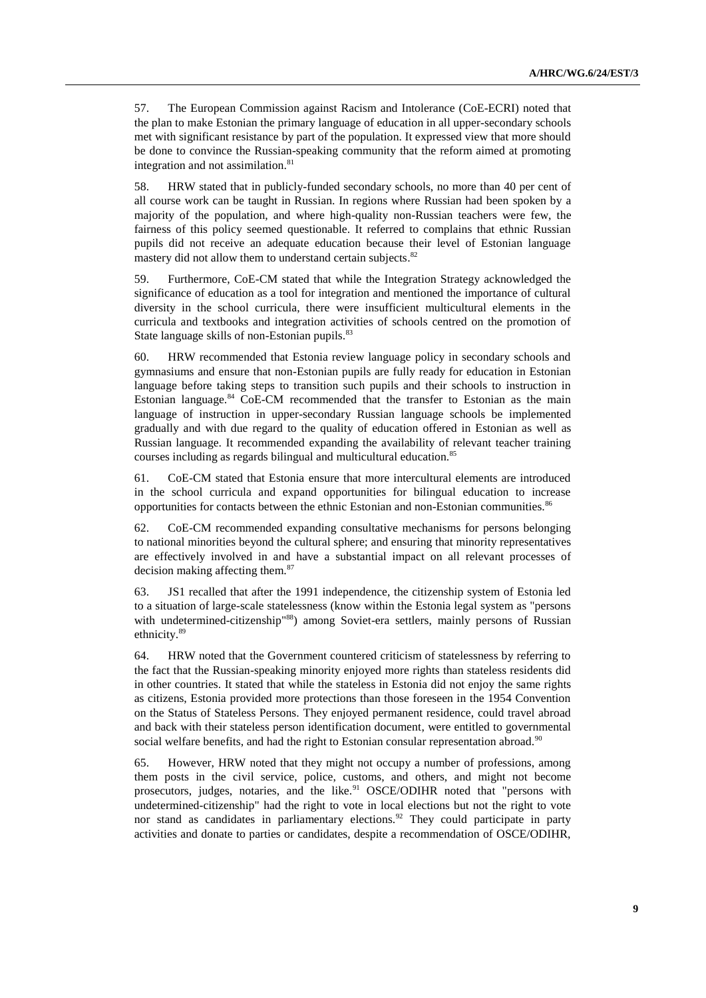57. The European Commission against Racism and Intolerance (CoE-ECRI) noted that the plan to make Estonian the primary language of education in all upper-secondary schools met with significant resistance by part of the population. It expressed view that more should be done to convince the Russian-speaking community that the reform aimed at promoting integration and not assimilation.<sup>81</sup>

58. HRW stated that in publicly-funded secondary schools, no more than 40 per cent of all course work can be taught in Russian. In regions where Russian had been spoken by a majority of the population, and where high-quality non-Russian teachers were few, the fairness of this policy seemed questionable. It referred to complains that ethnic Russian pupils did not receive an adequate education because their level of Estonian language mastery did not allow them to understand certain subjects.<sup>82</sup>

59. Furthermore, CoE-CM stated that while the Integration Strategy acknowledged the significance of education as a tool for integration and mentioned the importance of cultural diversity in the school curricula, there were insufficient multicultural elements in the curricula and textbooks and integration activities of schools centred on the promotion of State language skills of non-Estonian pupils.<sup>83</sup>

60. HRW recommended that Estonia review language policy in secondary schools and gymnasiums and ensure that non-Estonian pupils are fully ready for education in Estonian language before taking steps to transition such pupils and their schools to instruction in Estonian language. $84$  CoE-CM recommended that the transfer to Estonian as the main language of instruction in upper-secondary Russian language schools be implemented gradually and with due regard to the quality of education offered in Estonian as well as Russian language. It recommended expanding the availability of relevant teacher training courses including as regards bilingual and multicultural education.<sup>85</sup>

61. CoE-CM stated that Estonia ensure that more intercultural elements are introduced in the school curricula and expand opportunities for bilingual education to increase opportunities for contacts between the ethnic Estonian and non-Estonian communities.<sup>86</sup>

62. CoE-CM recommended expanding consultative mechanisms for persons belonging to national minorities beyond the cultural sphere; and ensuring that minority representatives are effectively involved in and have a substantial impact on all relevant processes of decision making affecting them.<sup>87</sup>

63. JS1 recalled that after the 1991 independence, the citizenship system of Estonia led to a situation of large-scale statelessness (know within the Estonia legal system as "persons with undetermined-citizenship"88) among Soviet-era settlers, mainly persons of Russian ethnicity.<sup>89</sup>

64. HRW noted that the Government countered criticism of statelessness by referring to the fact that the Russian-speaking minority enjoyed more rights than stateless residents did in other countries. It stated that while the stateless in Estonia did not enjoy the same rights as citizens, Estonia provided more protections than those foreseen in the 1954 Convention on the Status of Stateless Persons. They enjoyed permanent residence, could travel abroad and back with their stateless person identification document, were entitled to governmental social welfare benefits, and had the right to Estonian consular representation abroad.<sup>90</sup>

65. However, HRW noted that they might not occupy a number of professions, among them posts in the civil service, police, customs, and others, and might not become prosecutors, judges, notaries, and the like.<sup>91</sup> OSCE/ODIHR noted that "persons with undetermined-citizenship" had the right to vote in local elections but not the right to vote nor stand as candidates in parliamentary elections.<sup>92</sup> They could participate in party activities and donate to parties or candidates, despite a recommendation of OSCE/ODIHR,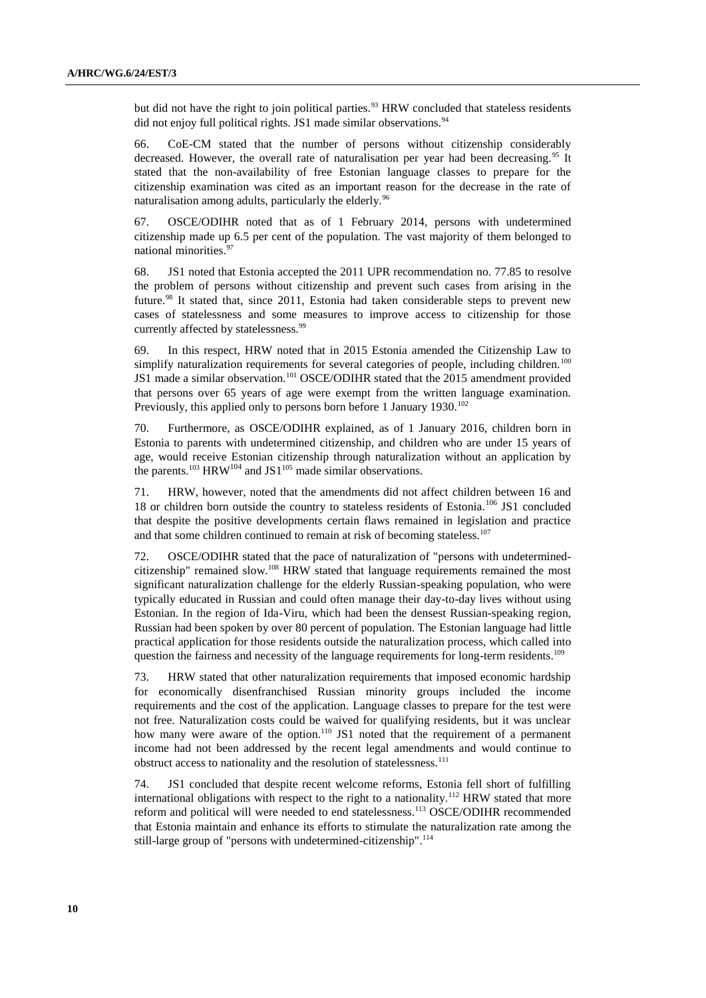but did not have the right to join political parties.<sup>93</sup> HRW concluded that stateless residents did not enjoy full political rights. JS1 made similar observations.<sup>94</sup>

66. CoE-CM stated that the number of persons without citizenship considerably decreased. However, the overall rate of naturalisation per year had been decreasing.<sup>95</sup> It stated that the non-availability of free Estonian language classes to prepare for the citizenship examination was cited as an important reason for the decrease in the rate of naturalisation among adults, particularly the elderly.<sup>96</sup>

67. OSCE/ODIHR noted that as of 1 February 2014, persons with undetermined citizenship made up 6.5 per cent of the population. The vast majority of them belonged to national minorities.<sup>97</sup>

68. JS1 noted that Estonia accepted the 2011 UPR recommendation no. 77.85 to resolve the problem of persons without citizenship and prevent such cases from arising in the future.<sup>98</sup> It stated that, since 2011, Estonia had taken considerable steps to prevent new cases of statelessness and some measures to improve access to citizenship for those currently affected by statelessness.<sup>99</sup>

69. In this respect, HRW noted that in 2015 Estonia amended the Citizenship Law to simplify naturalization requirements for several categories of people, including children.<sup>100</sup> JS1 made a similar observation.<sup>101</sup> OSCE/ODIHR stated that the 2015 amendment provided that persons over 65 years of age were exempt from the written language examination. Previously, this applied only to persons born before 1 January 1930.<sup>102</sup>

70. Furthermore, as OSCE/ODIHR explained, as of 1 January 2016, children born in Estonia to parents with undetermined citizenship, and children who are under 15 years of age, would receive Estonian citizenship through naturalization without an application by the parents.<sup>103</sup> HRW<sup>104</sup> and JS1<sup>105</sup> made similar observations.

71. HRW, however, noted that the amendments did not affect children between 16 and 18 or children born outside the country to stateless residents of Estonia.<sup>106</sup> JS1 concluded that despite the positive developments certain flaws remained in legislation and practice and that some children continued to remain at risk of becoming stateless.<sup>107</sup>

72. OSCE/ODIHR stated that the pace of naturalization of "persons with undeterminedcitizenship" remained slow.<sup>108</sup> HRW stated that language requirements remained the most significant naturalization challenge for the elderly Russian-speaking population, who were typically educated in Russian and could often manage their day-to-day lives without using Estonian. In the region of Ida-Viru, which had been the densest Russian-speaking region, Russian had been spoken by over 80 percent of population. The Estonian language had little practical application for those residents outside the naturalization process, which called into question the fairness and necessity of the language requirements for long-term residents.<sup>109</sup>

73. HRW stated that other naturalization requirements that imposed economic hardship for economically disenfranchised Russian minority groups included the income requirements and the cost of the application. Language classes to prepare for the test were not free. Naturalization costs could be waived for qualifying residents, but it was unclear how many were aware of the option.<sup>110</sup> JS1 noted that the requirement of a permanent income had not been addressed by the recent legal amendments and would continue to obstruct access to nationality and the resolution of statelessness.<sup>111</sup>

74. JS1 concluded that despite recent welcome reforms, Estonia fell short of fulfilling international obligations with respect to the right to a nationality.<sup>112</sup> HRW stated that more reform and political will were needed to end statelessness.<sup>113</sup> OSCE/ODIHR recommended that Estonia maintain and enhance its efforts to stimulate the naturalization rate among the still-large group of "persons with undetermined-citizenship".<sup>114</sup>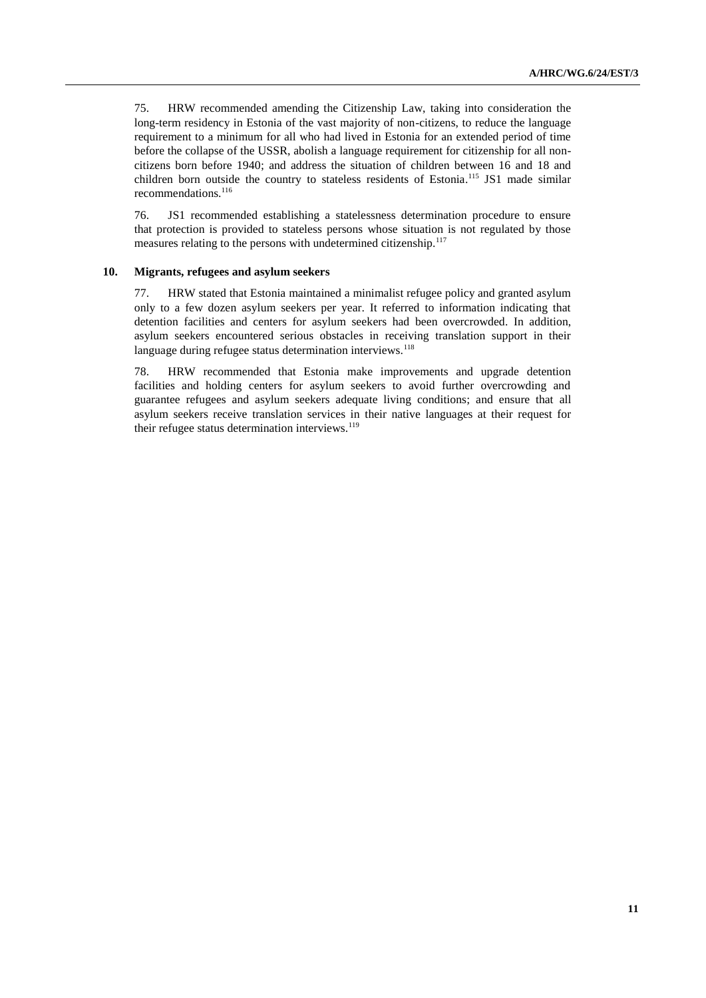75. HRW recommended amending the Citizenship Law, taking into consideration the long-term residency in Estonia of the vast majority of non-citizens, to reduce the language requirement to a minimum for all who had lived in Estonia for an extended period of time before the collapse of the USSR, abolish a language requirement for citizenship for all noncitizens born before 1940; and address the situation of children between 16 and 18 and children born outside the country to stateless residents of Estonia.<sup>115</sup> JS1 made similar recommendations.<sup>116</sup>

76. JS1 recommended establishing a statelessness determination procedure to ensure that protection is provided to stateless persons whose situation is not regulated by those measures relating to the persons with undetermined citizenship.<sup>117</sup>

#### **10. Migrants, refugees and asylum seekers**

77. HRW stated that Estonia maintained a minimalist refugee policy and granted asylum only to a few dozen asylum seekers per year. It referred to information indicating that detention facilities and centers for asylum seekers had been overcrowded. In addition, asylum seekers encountered serious obstacles in receiving translation support in their language during refugee status determination interviews.<sup>118</sup>

78. HRW recommended that Estonia make improvements and upgrade detention facilities and holding centers for asylum seekers to avoid further overcrowding and guarantee refugees and asylum seekers adequate living conditions; and ensure that all asylum seekers receive translation services in their native languages at their request for their refugee status determination interviews. $119$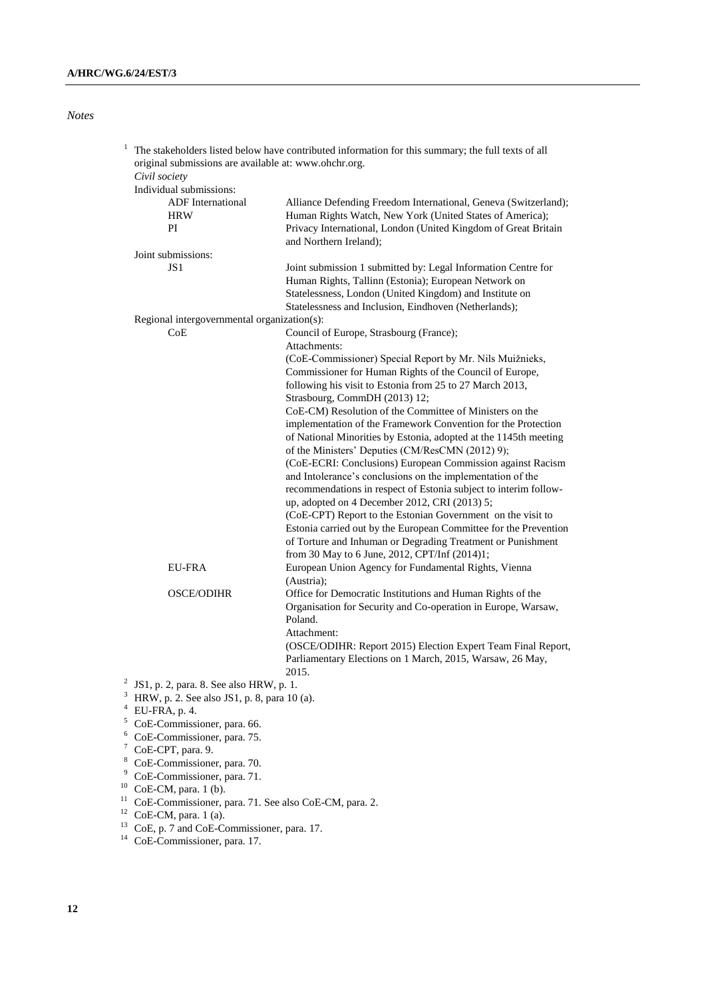## *Notes*

|   | original submissions are available at: www.ohchr.org.<br>Civil society | The stakeholders listed below have contributed information for this summary; the full texts of all                          |  |
|---|------------------------------------------------------------------------|-----------------------------------------------------------------------------------------------------------------------------|--|
|   | Individual submissions:                                                |                                                                                                                             |  |
|   | <b>ADF</b> International<br><b>HRW</b>                                 | Alliance Defending Freedom International, Geneva (Switzerland);<br>Human Rights Watch, New York (United States of America); |  |
|   | PI                                                                     | Privacy International, London (United Kingdom of Great Britain<br>and Northern Ireland);                                    |  |
|   | Joint submissions:                                                     |                                                                                                                             |  |
|   | JS1                                                                    | Joint submission 1 submitted by: Legal Information Centre for                                                               |  |
|   |                                                                        | Human Rights, Tallinn (Estonia); European Network on                                                                        |  |
|   |                                                                        | Statelessness, London (United Kingdom) and Institute on                                                                     |  |
|   |                                                                        | Statelessness and Inclusion, Eindhoven (Netherlands);                                                                       |  |
|   | Regional intergovernmental organization(s):                            |                                                                                                                             |  |
|   | CoE                                                                    | Council of Europe, Strasbourg (France);                                                                                     |  |
|   |                                                                        | Attachments:                                                                                                                |  |
|   |                                                                        | (CoE-Commissioner) Special Report by Mr. Nils Muižnieks,                                                                    |  |
|   |                                                                        | Commissioner for Human Rights of the Council of Europe,                                                                     |  |
|   |                                                                        | following his visit to Estonia from 25 to 27 March 2013,                                                                    |  |
|   |                                                                        | Strasbourg, CommDH (2013) 12;                                                                                               |  |
|   |                                                                        | CoE-CM) Resolution of the Committee of Ministers on the                                                                     |  |
|   |                                                                        | implementation of the Framework Convention for the Protection                                                               |  |
|   |                                                                        | of National Minorities by Estonia, adopted at the 1145th meeting<br>of the Ministers' Deputies (CM/ResCMN (2012) 9);        |  |
|   |                                                                        | (CoE-ECRI: Conclusions) European Commission against Racism                                                                  |  |
|   |                                                                        | and Intolerance's conclusions on the implementation of the                                                                  |  |
|   |                                                                        | recommendations in respect of Estonia subject to interim follow-                                                            |  |
|   |                                                                        | up, adopted on 4 December 2012, CRI (2013) 5;                                                                               |  |
|   |                                                                        | (CoE-CPT) Report to the Estonian Government on the visit to                                                                 |  |
|   |                                                                        | Estonia carried out by the European Committee for the Prevention                                                            |  |
|   |                                                                        | of Torture and Inhuman or Degrading Treatment or Punishment                                                                 |  |
|   |                                                                        | from 30 May to 6 June, 2012, CPT/Inf (2014)1;                                                                               |  |
|   | <b>EU-FRA</b>                                                          | European Union Agency for Fundamental Rights, Vienna                                                                        |  |
|   |                                                                        | (Austria);                                                                                                                  |  |
|   | <b>OSCE/ODIHR</b>                                                      | Office for Democratic Institutions and Human Rights of the                                                                  |  |
|   |                                                                        | Organisation for Security and Co-operation in Europe, Warsaw,                                                               |  |
|   |                                                                        | Poland.                                                                                                                     |  |
|   |                                                                        | Attachment:                                                                                                                 |  |
|   |                                                                        | (OSCE/ODIHR: Report 2015) Election Expert Team Final Report,                                                                |  |
|   |                                                                        | Parliamentary Elections on 1 March, 2015, Warsaw, 26 May,                                                                   |  |
|   |                                                                        | 2015.                                                                                                                       |  |
| 3 | JS1, p. 2, para. 8. See also HRW, p. 1.                                |                                                                                                                             |  |
|   | HRW, p. 2. See also JS1, p. 8, para 10 (a).                            |                                                                                                                             |  |

- $4$  EU-FRA, p. 4.
- $5 \text{ CoE-Commissioner, para. } 66.$
- $6 \text{COE-Commissioner, para. } 75.$
- $7$  CoE-CPT, para. 9.
- <sup>8</sup> CoE-Commissioner, para. 70.
- <sup>9</sup> CoE-Commissioner, para. 71.
- $10$  CoE-CM, para. 1 (b).
- $11$  CoE-Commissioner, para. 71. See also CoE-CM, para. 2.
- $12$  CoE-CM, para. 1 (a).
- <sup>13</sup> CoE, p. 7 and CoE-Commissioner, para. 17.
- <sup>14</sup> CoE-Commissioner, para. 17.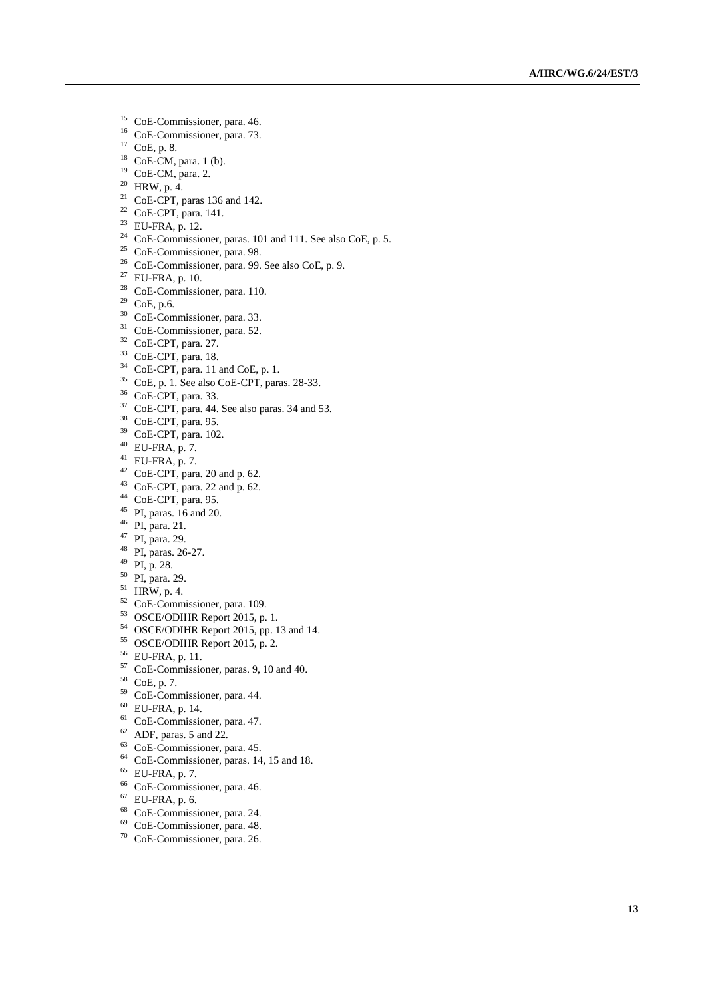- <sup>15</sup> CoE-Commissioner, para. 46.
- <sup>16</sup> CoE-Commissioner, para. 73.
- CoE, p. 8.
- CoE-CM, para. 1 (b).
- <sup>19</sup> CoE-CM, para. 2.
- HRW, p. 4.
- CoE-CPT, paras 136 and 142.
- CoE-CPT, para. 141.
- $^{23}$  EU-FRA, p. 12.
- <sup>24</sup> CoE-Commissioner, paras. 101 and 111. See also CoE, p. 5.
- <sup>25</sup> CoE-Commissioner, para. 98.
- <sup>26</sup> CoE-Commissioner, para. 99. See also CoE, p. 9.
- EU-FRA, p. 10.
- <sup>28</sup> CoE-Commissioner, para. 110.
- CoE, p.6.
- <sup>30</sup> CoE-Commissioner, para. 33.
- <sup>31</sup> CoE-Commissioner, para. 52.
- CoE -CPT, para. 27.
- CoE -CPT, para. 18.
- <sup>34</sup> CoE-CPT, para. 11 and CoE, p. 1.
- CoE, p. 1. See also CoE-CPT, paras. 28-33.
- CoE -CPT, para. 33.
- CoE-CPT, para. 44. See also paras. 34 and 53.
- CoE -CPT, para. 95.
- <sup>39</sup> CoE-CPT, para. 102.
- $^{40}$  EU-FRA, p. 7.
- EU-FRA, p. 7.
- CoE-CPT, para. 20 and p. 62.
- CoE-CPT, para. 22 and p. 62.
- CoE -CPT, para. 95.
- PI, paras. 16 and 20.
- PI, para. 21.
- PI, para. 29.
- <sup>48</sup> PI, paras. 26-27.
- PI, p. 28.
- PI, para. 29.
- HRW, p. 4.
- <sup>52</sup> CoE-Commissioner, para. 109.
- OSCE/ODIHR Report 2015, p. 1.
- OSCE/ODIHR Report 2015, pp. 13 and 14.
- OSCE/ODIHR Report 2015, p. 2.
- EU -FRA, p. 11.
- <sup>57</sup> CoE-Commissioner, paras. 9, 10 and 40.
- CoE, p. 7.
- CoE -Commissioner, para. 44.
- EU-FRA, p. 14.
- <sup>61</sup> CoE-Commissioner, para. 47.
- ADF, paras. 5 and 22.
- <sup>63</sup> CoE-Commissioner, para. 45.
- CoE -Commissioner, paras. 14, 15 and 18.
- $^{65}$  EU-FRA, p. 7.
- CoE -Commissioner, para. 46.
- EU-FRA, p. 6.
- CoE -Commissioner, para. 24.
- CoE -Commissioner, para. 48.
- CoE -Commissioner, para. 26.